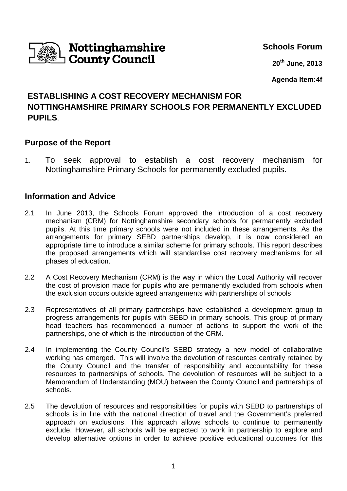

**Schools Forum**

**20th June, 2013**

**Agenda Item:4f**

# **ESTABLISHING A COST RECOVERY MECHANISM FOR NOTTINGHAMSHIRE PRIMARY SCHOOLS FOR PERMANENTLY EXCLUDED PUPILS**.

## **Purpose of the Report**

1. To seek approval to establish a cost recovery mechanism for Nottinghamshire Primary Schools for permanently excluded pupils.

### **Information and Advice**

- 2.1 In June 2013, the Schools Forum approved the introduction of a cost recovery mechanism (CRM) for Nottinghamshire secondary schools for permanently excluded pupils. At this time primary schools were not included in these arrangements. As the arrangements for primary SEBD partnerships develop, it is now considered an appropriate time to introduce a similar scheme for primary schools. This report describes the proposed arrangements which will standardise cost recovery mechanisms for all phases of education.
- 2.2 A Cost Recovery Mechanism (CRM) is the way in which the Local Authority will recover the cost of provision made for pupils who are permanently excluded from schools when the exclusion occurs outside agreed arrangements with partnerships of schools
- 2.3 Representatives of all primary partnerships have established a development group to progress arrangements for pupils with SEBD in primary schools. This group of primary head teachers has recommended a number of actions to support the work of the partnerships, one of which is the introduction of the CRM.
- 2.4 In implementing the County Council's SEBD strategy a new model of collaborative working has emerged. This will involve the devolution of resources centrally retained by the County Council and the transfer of responsibility and accountability for these resources to partnerships of schools. The devolution of resources will be subject to a Memorandum of Understanding (MOU) between the County Council and partnerships of schools.
- 2.5 The devolution of resources and responsibilities for pupils with SEBD to partnerships of schools is in line with the national direction of travel and the Government's preferred approach on exclusions. This approach allows schools to continue to permanently exclude. However, all schools will be expected to work in partnership to explore and develop alternative options in order to achieve positive educational outcomes for this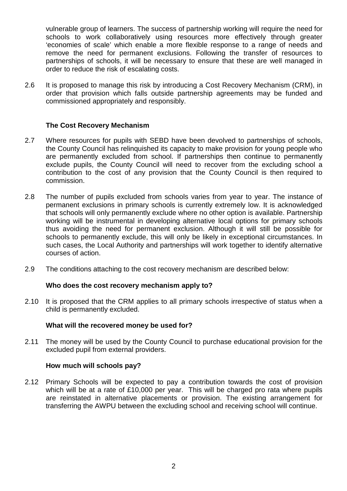vulnerable group of learners. The success of partnership working will require the need for schools to work collaboratively using resources more effectively through greater 'economies of scale' which enable a more flexible response to a range of needs and remove the need for permanent exclusions. Following the transfer of resources to partnerships of schools, it will be necessary to ensure that these are well managed in order to reduce the risk of escalating costs.

2.6 It is proposed to manage this risk by introducing a Cost Recovery Mechanism (CRM), in order that provision which falls outside partnership agreements may be funded and commissioned appropriately and responsibly.

#### **The Cost Recovery Mechanism**

- 2.7 Where resources for pupils with SEBD have been devolved to partnerships of schools, the County Council has relinquished its capacity to make provision for young people who are permanently excluded from school. If partnerships then continue to permanently exclude pupils, the County Council will need to recover from the excluding school a contribution to the cost of any provision that the County Council is then required to commission.
- 2.8 The number of pupils excluded from schools varies from year to year. The instance of permanent exclusions in primary schools is currently extremely low. It is acknowledged that schools will only permanently exclude where no other option is available. Partnership working will be instrumental in developing alternative local options for primary schools thus avoiding the need for permanent exclusion. Although it will still be possible for schools to permanently exclude, this will only be likely in exceptional circumstances. In such cases, the Local Authority and partnerships will work together to identify alternative courses of action.
- 2.9 The conditions attaching to the cost recovery mechanism are described below:

#### **Who does the cost recovery mechanism apply to?**

2.10 It is proposed that the CRM applies to all primary schools irrespective of status when a child is permanently excluded.

#### **What will the recovered money be used for?**

2.11 The money will be used by the County Council to purchase educational provision for the excluded pupil from external providers.

#### **How much will schools pay?**

2.12 Primary Schools will be expected to pay a contribution towards the cost of provision which will be at a rate of £10,000 per year. This will be charged pro rata where pupils are reinstated in alternative placements or provision. The existing arrangement for transferring the AWPU between the excluding school and receiving school will continue.